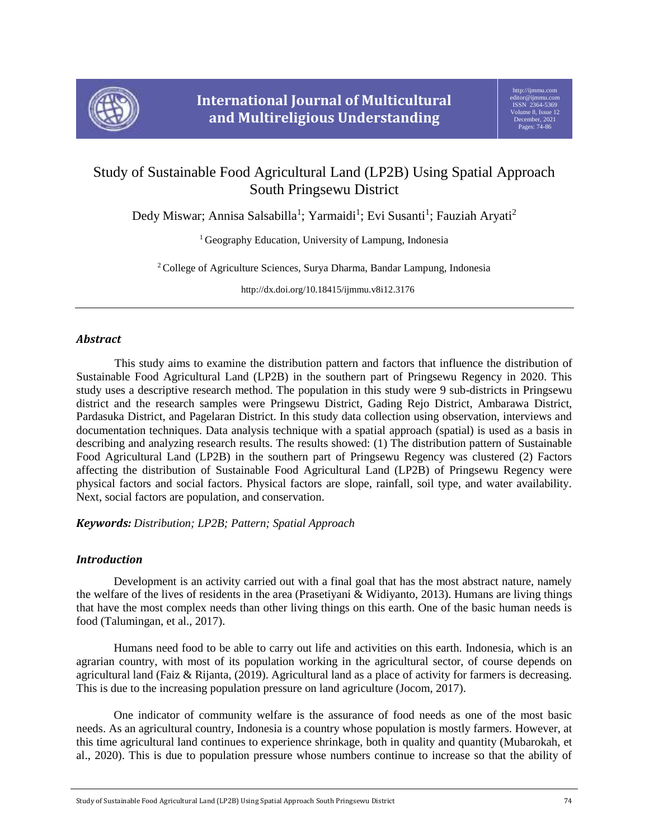

# Study of Sustainable Food Agricultural Land (LP2B) Using Spatial Approach South Pringsewu District

Dedy Miswar; Annisa Salsabilla<sup>1</sup>; Yarmaidi<sup>1</sup>; Evi Susanti<sup>1</sup>; Fauziah Aryati<sup>2</sup>

<sup>1</sup> Geography Education, University of Lampung, Indonesia

<sup>2</sup> College of Agriculture Sciences, Surya Dharma, Bandar Lampung, Indonesia

http://dx.doi.org/10.18415/ijmmu.v8i12.3176

# *Abstract*

This study aims to examine the distribution pattern and factors that influence the distribution of Sustainable Food Agricultural Land (LP2B) in the southern part of Pringsewu Regency in 2020. This study uses a descriptive research method. The population in this study were 9 sub-districts in Pringsewu district and the research samples were Pringsewu District, Gading Rejo District, Ambarawa District, Pardasuka District, and Pagelaran District. In this study data collection using observation, interviews and documentation techniques. Data analysis technique with a spatial approach (spatial) is used as a basis in describing and analyzing research results. The results showed: (1) The distribution pattern of Sustainable Food Agricultural Land (LP2B) in the southern part of Pringsewu Regency was clustered (2) Factors affecting the distribution of Sustainable Food Agricultural Land (LP2B) of Pringsewu Regency were physical factors and social factors. Physical factors are slope, rainfall, soil type, and water availability. Next, social factors are population, and conservation.

*Keywords: Distribution; LP2B; Pattern; Spatial Approach*

# *Introduction*

Development is an activity carried out with a final goal that has the most abstract nature, namely the welfare of the lives of residents in the area (Prasetiyani & Widiyanto, 2013). Humans are living things that have the most complex needs than other living things on this earth. One of the basic human needs is food (Talumingan, et al., 2017).

Humans need food to be able to carry out life and activities on this earth. Indonesia, which is an agrarian country, with most of its population working in the agricultural sector, of course depends on agricultural land (Faiz & Rijanta, (2019). Agricultural land as a place of activity for farmers is decreasing. This is due to the increasing population pressure on land agriculture (Jocom, 2017).

One indicator of community welfare is the assurance of food needs as one of the most basic needs. As an agricultural country, Indonesia is a country whose population is mostly farmers. However, at this time agricultural land continues to experience shrinkage, both in quality and quantity (Mubarokah, et al., 2020). This is due to population pressure whose numbers continue to increase so that the ability of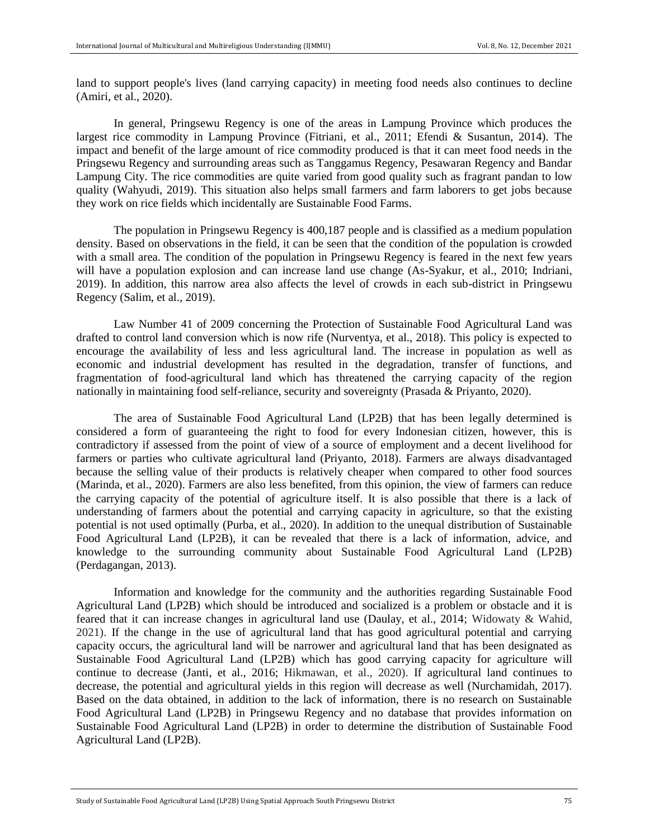land to support people's lives (land carrying capacity) in meeting food needs also continues to decline (Amiri, et al., 2020).

In general, Pringsewu Regency is one of the areas in Lampung Province which produces the largest rice commodity in Lampung Province (Fitriani, et al., 2011; Efendi & Susantun, 2014). The impact and benefit of the large amount of rice commodity produced is that it can meet food needs in the Pringsewu Regency and surrounding areas such as Tanggamus Regency, Pesawaran Regency and Bandar Lampung City. The rice commodities are quite varied from good quality such as fragrant pandan to low quality (Wahyudi, 2019). This situation also helps small farmers and farm laborers to get jobs because they work on rice fields which incidentally are Sustainable Food Farms.

The population in Pringsewu Regency is 400,187 people and is classified as a medium population density. Based on observations in the field, it can be seen that the condition of the population is crowded with a small area. The condition of the population in Pringsewu Regency is feared in the next few years will have a population explosion and can increase land use change (As-Syakur, et al., 2010; Indriani, 2019). In addition, this narrow area also affects the level of crowds in each sub-district in Pringsewu Regency (Salim, et al., 2019).

Law Number 41 of 2009 concerning the Protection of Sustainable Food Agricultural Land was drafted to control land conversion which is now rife (Nurventya, et al., 2018). This policy is expected to encourage the availability of less and less agricultural land. The increase in population as well as economic and industrial development has resulted in the degradation, transfer of functions, and fragmentation of food-agricultural land which has threatened the carrying capacity of the region nationally in maintaining food self-reliance, security and sovereignty (Prasada & Priyanto, 2020).

The area of Sustainable Food Agricultural Land (LP2B) that has been legally determined is considered a form of guaranteeing the right to food for every Indonesian citizen, however, this is contradictory if assessed from the point of view of a source of employment and a decent livelihood for farmers or parties who cultivate agricultural land (Priyanto, 2018). Farmers are always disadvantaged because the selling value of their products is relatively cheaper when compared to other food sources (Marinda, et al., 2020). Farmers are also less benefited, from this opinion, the view of farmers can reduce the carrying capacity of the potential of agriculture itself. It is also possible that there is a lack of understanding of farmers about the potential and carrying capacity in agriculture, so that the existing potential is not used optimally (Purba, et al., 2020). In addition to the unequal distribution of Sustainable Food Agricultural Land (LP2B), it can be revealed that there is a lack of information, advice, and knowledge to the surrounding community about Sustainable Food Agricultural Land (LP2B) (Perdagangan, 2013).

Information and knowledge for the community and the authorities regarding Sustainable Food Agricultural Land (LP2B) which should be introduced and socialized is a problem or obstacle and it is feared that it can increase changes in agricultural land use (Daulay, et al., 2014; Widowaty & Wahid, 2021). If the change in the use of agricultural land that has good agricultural potential and carrying capacity occurs, the agricultural land will be narrower and agricultural land that has been designated as Sustainable Food Agricultural Land (LP2B) which has good carrying capacity for agriculture will continue to decrease (Janti, et al., 2016; Hikmawan, et al., 2020). If agricultural land continues to decrease, the potential and agricultural yields in this region will decrease as well (Nurchamidah, 2017). Based on the data obtained, in addition to the lack of information, there is no research on Sustainable Food Agricultural Land (LP2B) in Pringsewu Regency and no database that provides information on Sustainable Food Agricultural Land (LP2B) in order to determine the distribution of Sustainable Food Agricultural Land (LP2B).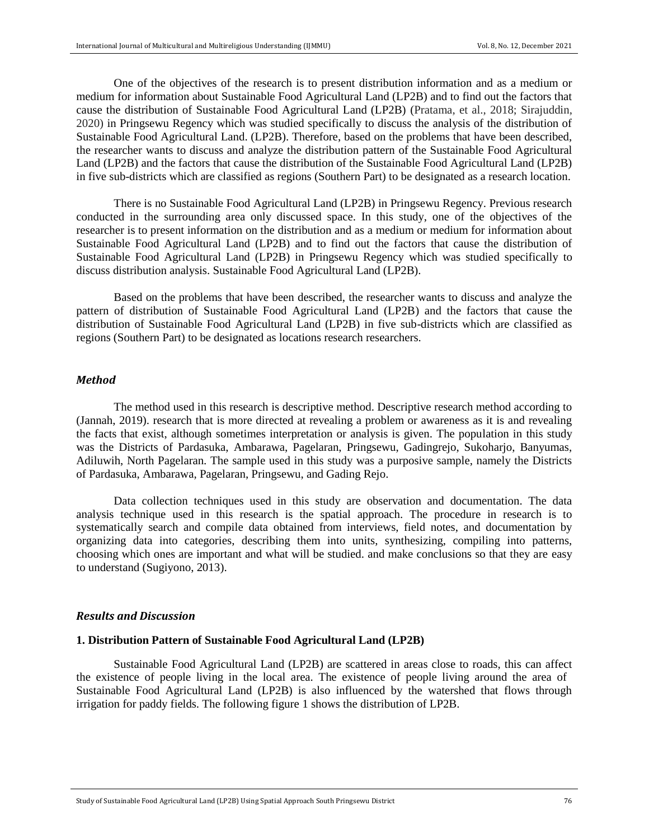One of the objectives of the research is to present distribution information and as a medium or medium for information about Sustainable Food Agricultural Land (LP2B) and to find out the factors that cause the distribution of Sustainable Food Agricultural Land (LP2B) (Pratama, et al., 2018; Sirajuddin, 2020) in Pringsewu Regency which was studied specifically to discuss the analysis of the distribution of Sustainable Food Agricultural Land. (LP2B). Therefore, based on the problems that have been described, the researcher wants to discuss and analyze the distribution pattern of the Sustainable Food Agricultural Land (LP2B) and the factors that cause the distribution of the Sustainable Food Agricultural Land (LP2B) in five sub-districts which are classified as regions (Southern Part) to be designated as a research location.

There is no Sustainable Food Agricultural Land (LP2B) in Pringsewu Regency. Previous research conducted in the surrounding area only discussed space. In this study, one of the objectives of the researcher is to present information on the distribution and as a medium or medium for information about Sustainable Food Agricultural Land (LP2B) and to find out the factors that cause the distribution of Sustainable Food Agricultural Land (LP2B) in Pringsewu Regency which was studied specifically to discuss distribution analysis. Sustainable Food Agricultural Land (LP2B).

Based on the problems that have been described, the researcher wants to discuss and analyze the pattern of distribution of Sustainable Food Agricultural Land (LP2B) and the factors that cause the distribution of Sustainable Food Agricultural Land (LP2B) in five sub-districts which are classified as regions (Southern Part) to be designated as locations research researchers.

#### *Method*

The method used in this research is descriptive method. Descriptive research method according to (Jannah, 2019). research that is more directed at revealing a problem or awareness as it is and revealing the facts that exist, although sometimes interpretation or analysis is given. The population in this study was the Districts of Pardasuka, Ambarawa, Pagelaran, Pringsewu, Gadingrejo, Sukoharjo, Banyumas, Adiluwih, North Pagelaran. The sample used in this study was a purposive sample, namely the Districts of Pardasuka, Ambarawa, Pagelaran, Pringsewu, and Gading Rejo.

Data collection techniques used in this study are observation and documentation. The data analysis technique used in this research is the spatial approach. The procedure in research is to systematically search and compile data obtained from interviews, field notes, and documentation by organizing data into categories, describing them into units, synthesizing, compiling into patterns, choosing which ones are important and what will be studied. and make conclusions so that they are easy to understand (Sugiyono, 2013).

### *Results and Discussion*

### **1. Distribution Pattern of Sustainable Food Agricultural Land (LP2B)**

Sustainable Food Agricultural Land (LP2B) are scattered in areas close to roads, this can affect the existence of people living in the local area. The existence of people living around the area of Sustainable Food Agricultural Land (LP2B) is also influenced by the watershed that flows through irrigation for paddy fields. The following figure 1 shows the distribution of LP2B.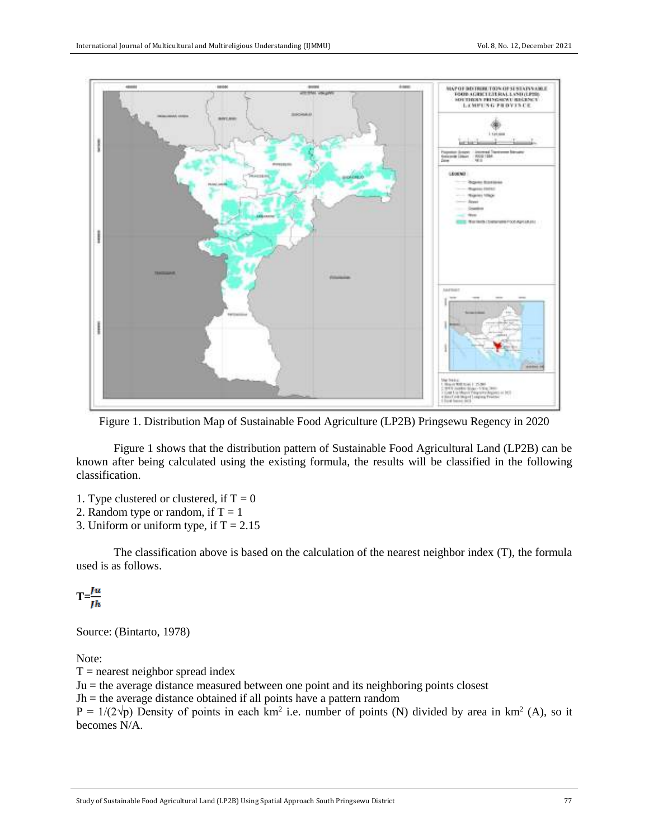

Figure 1. Distribution Map of Sustainable Food Agriculture (LP2B) Pringsewu Regency in 2020

Figure 1 shows that the distribution pattern of Sustainable Food Agricultural Land (LP2B) can be known after being calculated using the existing formula, the results will be classified in the following classification.

1. Type clustered or clustered, if  $T = 0$ 

2. Random type or random, if  $T = 1$ 

3. Uniform or uniform type, if  $T = 2.15$ 

The classification above is based on the calculation of the nearest neighbor index (T), the formula used is as follows.

 $T=\frac{Ju}{Jh}$ 

Source: (Bintarto, 1978)

Note:

 $T =$  nearest neighbor spread index

Ju = the average distance measured between one point and its neighboring points closest

 $Jh$  = the average distance obtained if all points have a pattern random

 $P = 1/(2\sqrt{p})$  Density of points in each km<sup>2</sup> i.e. number of points (N) divided by area in km<sup>2</sup> (A), so it becomes N/A.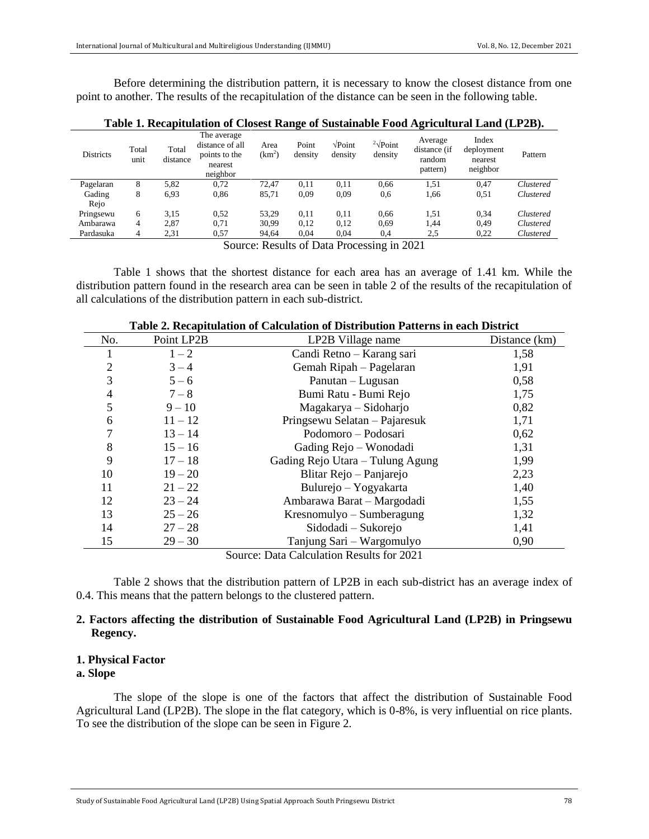Before determining the distribution pattern, it is necessary to know the closest distance from one point to another. The results of the recapitulation of the distance can be seen in the following table.

|                  |                |                   |                                                                        |                            |                  |                                  |                                   | -                                             |                                            |           |
|------------------|----------------|-------------------|------------------------------------------------------------------------|----------------------------|------------------|----------------------------------|-----------------------------------|-----------------------------------------------|--------------------------------------------|-----------|
| <b>Districts</b> | Total<br>unit  | Total<br>distance | The average<br>distance of all<br>points to the<br>nearest<br>neighbor | Area<br>(km <sup>2</sup> ) | Point<br>density | $\sqrt{\text{Point}}$<br>density | $2\sqrt{\text{Point}}$<br>density | Average<br>distance (if<br>random<br>pattern) | Index<br>deployment<br>nearest<br>neighbor | Pattern   |
| Pagelaran        | 8              | 5,82              | 0,72                                                                   | 72.47                      | 0.11             | 0,11                             | 0,66                              | 1,51                                          | 0,47                                       | Clustered |
| Gading           | 8              | 6.93              | 0.86                                                                   | 85,71                      | 0.09             | 0.09                             | 0.6                               | 1,66                                          | 0.51                                       | Clustered |
| Rejo             |                |                   |                                                                        |                            |                  |                                  |                                   |                                               |                                            |           |
| Pringsewu        | 6              | 3,15              | 0.52                                                                   | 53.29                      | 0.11             | 0,11                             | 0.66                              | 1,51                                          | 0.34                                       | Clustered |
| Ambarawa         | 4              | 2,87              | 0.71                                                                   | 30,99                      | 0.12             | 0,12                             | 0.69                              | 1,44                                          | 0.49                                       | Clustered |
| Pardasuka        | $\overline{4}$ | 2,31              | 0.57                                                                   | 94.64                      | 0.04             | 0.04                             | 0,4                               | 2.5                                           | 0,22                                       | Clustered |
|                  |                |                   | $\sim$                                                                 | $\sim$                     | $\sim$ $-$       | $\sim$                           |                                   | ----                                          |                                            |           |

**Table 1. Recapitulation of Closest Range of Sustainable Food Agricultural Land (LP2B).**

Source: Results of Data Processing in 2021

Table 1 shows that the shortest distance for each area has an average of 1.41 km. While the distribution pattern found in the research area can be seen in table 2 of the results of the recapitulation of all calculations of the distribution pattern in each sub-district.

| таріс 2. кесарнанинон от сансанинон от<br>uvn 1 utterne m vuen <i>D</i> istriet |            |                                           |               |  |  |  |  |  |
|---------------------------------------------------------------------------------|------------|-------------------------------------------|---------------|--|--|--|--|--|
| No.                                                                             | Point LP2B | LP2B Village name                         | Distance (km) |  |  |  |  |  |
|                                                                                 | $1 - 2$    | Candi Retno – Karang sari                 | 1,58          |  |  |  |  |  |
| 2                                                                               | $3 - 4$    | Gemah Ripah - Pagelaran                   | 1,91          |  |  |  |  |  |
| 3                                                                               | $5 - 6$    | 0,58<br>Panutan – Lugusan                 |               |  |  |  |  |  |
| 4                                                                               | $7 - 8$    | Bumi Ratu - Bumi Rejo<br>1,75             |               |  |  |  |  |  |
| 5                                                                               | $9 - 10$   | Magakarya – Sidoharjo                     |               |  |  |  |  |  |
| 6                                                                               | $11 - 12$  | Pringsewu Selatan – Pajaresuk             | 1,71          |  |  |  |  |  |
|                                                                                 | $13 - 14$  | Podomoro - Podosari                       | 0,62          |  |  |  |  |  |
| 8                                                                               | $15 - 16$  | Gading Rejo – Wonodadi                    | 1,31          |  |  |  |  |  |
| 9                                                                               | $17 - 18$  | 1,99<br>Gading Rejo Utara – Tulung Agung  |               |  |  |  |  |  |
| 10                                                                              | $19 - 20$  | Blitar Rejo - Panjarejo                   | 2,23          |  |  |  |  |  |
| 11                                                                              | $21 - 22$  | Bulurejo – Yogyakarta                     | 1,40          |  |  |  |  |  |
| 12                                                                              | $23 - 24$  | Ambarawa Barat – Margodadi                | 1,55          |  |  |  |  |  |
| 13                                                                              | $25 - 26$  | Kresnomulyo – Sumberagung                 | 1,32          |  |  |  |  |  |
| 14                                                                              | $27 - 28$  | Sidodadi – Sukorejo                       | 1,41          |  |  |  |  |  |
| 15                                                                              | $29 - 30$  | Tanjung Sari – Wargomulyo                 | 0,90          |  |  |  |  |  |
|                                                                                 |            | Cource: Data Calculation Recults for 2021 |               |  |  |  |  |  |

### **Table 2. Recapitulation of Calculation of Distribution Patterns in each District**

Source: Data Calculation Results for 2021

Table 2 shows that the distribution pattern of LP2B in each sub-district has an average index of 0.4. This means that the pattern belongs to the clustered pattern.

# **2. Factors affecting the distribution of Sustainable Food Agricultural Land (LP2B) in Pringsewu Regency.**

# **1. Physical Factor**

# **a. Slope**

The slope of the slope is one of the factors that affect the distribution of Sustainable Food Agricultural Land (LP2B). The slope in the flat category, which is 0-8%, is very influential on rice plants. To see the distribution of the slope can be seen in Figure 2.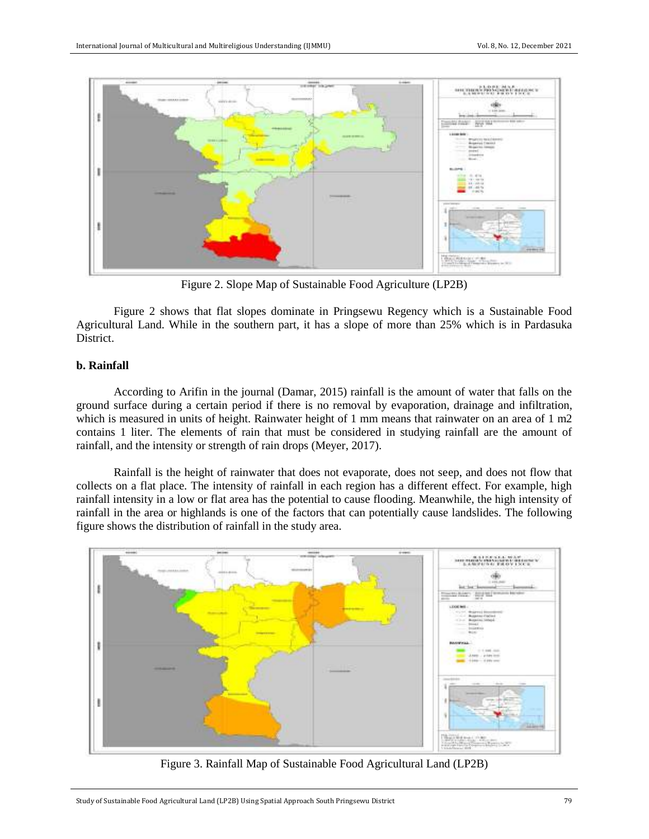

Figure 2. Slope Map of Sustainable Food Agriculture (LP2B)

Figure 2 shows that flat slopes dominate in Pringsewu Regency which is a Sustainable Food Agricultural Land. While in the southern part, it has a slope of more than 25% which is in Pardasuka District.

### **b. Rainfall**

According to Arifin in the journal (Damar, 2015) rainfall is the amount of water that falls on the ground surface during a certain period if there is no removal by evaporation, drainage and infiltration, which is measured in units of height. Rainwater height of 1 mm means that rainwater on an area of 1 m2 contains 1 liter. The elements of rain that must be considered in studying rainfall are the amount of rainfall, and the intensity or strength of rain drops (Meyer, 2017).

Rainfall is the height of rainwater that does not evaporate, does not seep, and does not flow that collects on a flat place. The intensity of rainfall in each region has a different effect. For example, high rainfall intensity in a low or flat area has the potential to cause flooding. Meanwhile, the high intensity of rainfall in the area or highlands is one of the factors that can potentially cause landslides. The following figure shows the distribution of rainfall in the study area.



Figure 3. Rainfall Map of Sustainable Food Agricultural Land (LP2B)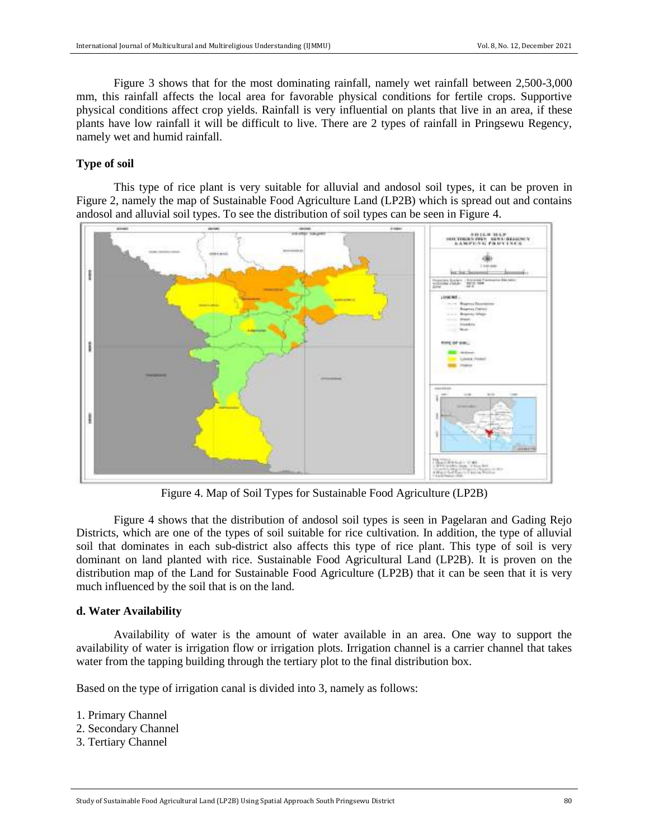Figure 3 shows that for the most dominating rainfall, namely wet rainfall between 2,500-3,000 mm, this rainfall affects the local area for favorable physical conditions for fertile crops. Supportive physical conditions affect crop yields. Rainfall is very influential on plants that live in an area, if these plants have low rainfall it will be difficult to live. There are 2 types of rainfall in Pringsewu Regency, namely wet and humid rainfall.

# **Type of soil**

This type of rice plant is very suitable for alluvial and andosol soil types, it can be proven in Figure 2, namely the map of Sustainable Food Agriculture Land (LP2B) which is spread out and contains andosol and alluvial soil types. To see the distribution of soil types can be seen in Figure 4.



Figure 4. Map of Soil Types for Sustainable Food Agriculture (LP2B)

Figure 4 shows that the distribution of andosol soil types is seen in Pagelaran and Gading Rejo Districts, which are one of the types of soil suitable for rice cultivation. In addition, the type of alluvial soil that dominates in each sub-district also affects this type of rice plant. This type of soil is very dominant on land planted with rice. Sustainable Food Agricultural Land (LP2B). It is proven on the distribution map of the Land for Sustainable Food Agriculture (LP2B) that it can be seen that it is very much influenced by the soil that is on the land.

# **d. Water Availability**

Availability of water is the amount of water available in an area. One way to support the availability of water is irrigation flow or irrigation plots. Irrigation channel is a carrier channel that takes water from the tapping building through the tertiary plot to the final distribution box.

Based on the type of irrigation canal is divided into 3, namely as follows:

1. Primary Channel

- 2. Secondary Channel
- 3. Tertiary Channel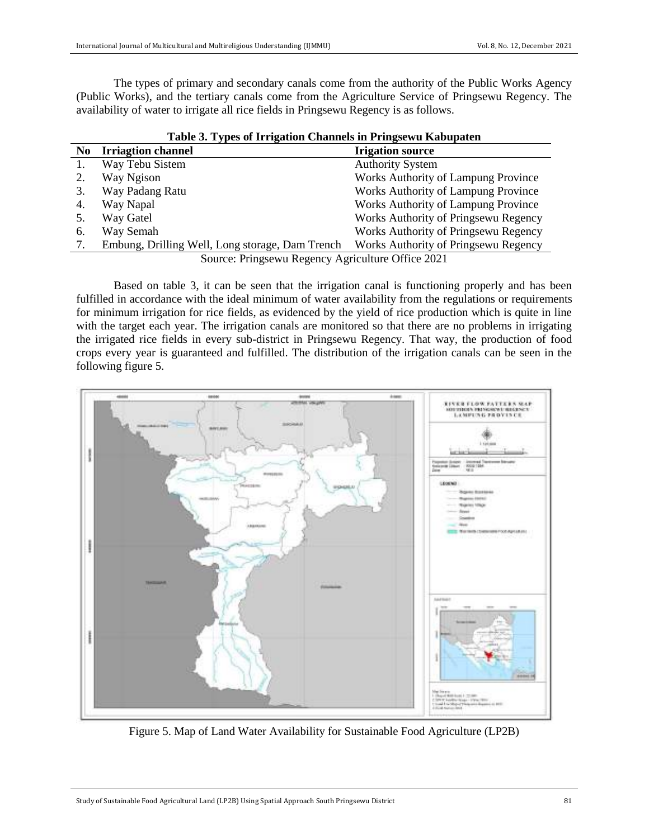The types of primary and secondary canals come from the authority of the Public Works Agency (Public Works), and the tertiary canals come from the Agriculture Service of Pringsewu Regency. The availability of water to irrigate all rice fields in Pringsewu Regency is as follows.

| Table 3. Types of Irrigation Channels in Pringsewu Kabupaten |                                                 |                                      |  |  |  |
|--------------------------------------------------------------|-------------------------------------------------|--------------------------------------|--|--|--|
| N <sub>0</sub>                                               | <b>Irriagtion channel</b>                       | <b>Irigation source</b>              |  |  |  |
| 1.                                                           | Way Tebu Sistem                                 | <b>Authority System</b>              |  |  |  |
|                                                              | Way Ngison                                      | Works Authority of Lampung Province  |  |  |  |
|                                                              | Way Padang Ratu                                 | Works Authority of Lampung Province  |  |  |  |
| 4.                                                           | Way Napal                                       | Works Authority of Lampung Province  |  |  |  |
|                                                              | Way Gatel                                       | Works Authority of Pringsewu Regency |  |  |  |
| 6.                                                           | Way Semah                                       | Works Authority of Pringsewu Regency |  |  |  |
|                                                              | Embung, Drilling Well, Long storage, Dam Trench | Works Authority of Pringsewu Regency |  |  |  |
| Source: Pringsewu Regency Agriculture Office 2021            |                                                 |                                      |  |  |  |

Based on table 3, it can be seen that the irrigation canal is functioning properly and has been fulfilled in accordance with the ideal minimum of water availability from the regulations or requirements for minimum irrigation for rice fields, as evidenced by the yield of rice production which is quite in line with the target each year. The irrigation canals are monitored so that there are no problems in irrigating the irrigated rice fields in every sub-district in Pringsewu Regency. That way, the production of food crops every year is guaranteed and fulfilled. The distribution of the irrigation canals can be seen in the following figure 5.



Figure 5. Map of Land Water Availability for Sustainable Food Agriculture (LP2B)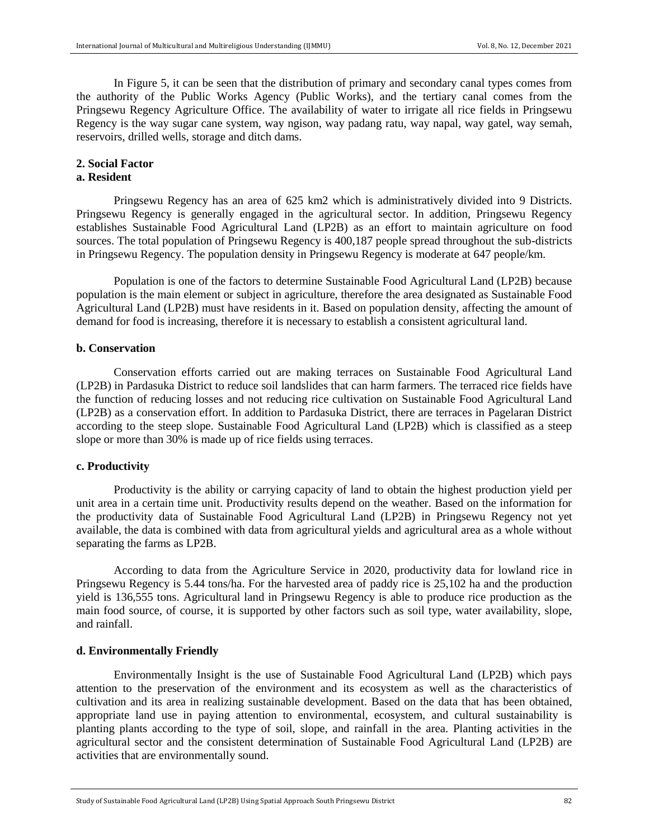In Figure 5, it can be seen that the distribution of primary and secondary canal types comes from the authority of the Public Works Agency (Public Works), and the tertiary canal comes from the Pringsewu Regency Agriculture Office. The availability of water to irrigate all rice fields in Pringsewu Regency is the way sugar cane system, way ngison, way padang ratu, way napal, way gatel, way semah, reservoirs, drilled wells, storage and ditch dams.

# **2. Social Factor**

# **a. Resident**

Pringsewu Regency has an area of 625 km2 which is administratively divided into 9 Districts. Pringsewu Regency is generally engaged in the agricultural sector. In addition, Pringsewu Regency establishes Sustainable Food Agricultural Land (LP2B) as an effort to maintain agriculture on food sources. The total population of Pringsewu Regency is 400,187 people spread throughout the sub-districts in Pringsewu Regency. The population density in Pringsewu Regency is moderate at 647 people/km.

Population is one of the factors to determine Sustainable Food Agricultural Land (LP2B) because population is the main element or subject in agriculture, therefore the area designated as Sustainable Food Agricultural Land (LP2B) must have residents in it. Based on population density, affecting the amount of demand for food is increasing, therefore it is necessary to establish a consistent agricultural land.

### **b. Conservation**

Conservation efforts carried out are making terraces on Sustainable Food Agricultural Land (LP2B) in Pardasuka District to reduce soil landslides that can harm farmers. The terraced rice fields have the function of reducing losses and not reducing rice cultivation on Sustainable Food Agricultural Land (LP2B) as a conservation effort. In addition to Pardasuka District, there are terraces in Pagelaran District according to the steep slope. Sustainable Food Agricultural Land (LP2B) which is classified as a steep slope or more than 30% is made up of rice fields using terraces.

### **c. Productivity**

Productivity is the ability or carrying capacity of land to obtain the highest production yield per unit area in a certain time unit. Productivity results depend on the weather. Based on the information for the productivity data of Sustainable Food Agricultural Land (LP2B) in Pringsewu Regency not yet available, the data is combined with data from agricultural yields and agricultural area as a whole without separating the farms as LP2B.

According to data from the Agriculture Service in 2020, productivity data for lowland rice in Pringsewu Regency is 5.44 tons/ha. For the harvested area of paddy rice is 25,102 ha and the production yield is 136,555 tons. Agricultural land in Pringsewu Regency is able to produce rice production as the main food source, of course, it is supported by other factors such as soil type, water availability, slope, and rainfall.

### **d. Environmentally Friendly**

Environmentally Insight is the use of Sustainable Food Agricultural Land (LP2B) which pays attention to the preservation of the environment and its ecosystem as well as the characteristics of cultivation and its area in realizing sustainable development. Based on the data that has been obtained, appropriate land use in paying attention to environmental, ecosystem, and cultural sustainability is planting plants according to the type of soil, slope, and rainfall in the area. Planting activities in the agricultural sector and the consistent determination of Sustainable Food Agricultural Land (LP2B) are activities that are environmentally sound.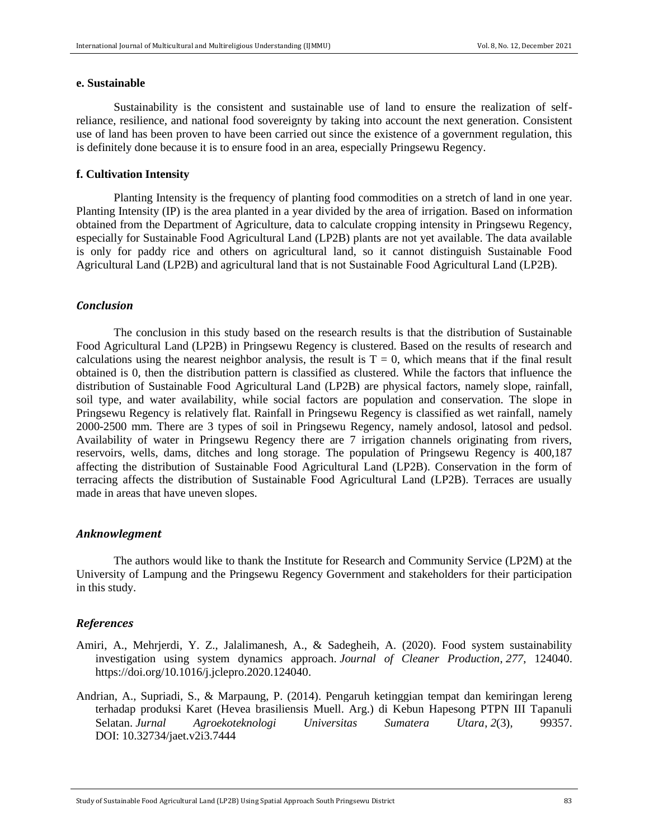### **e. Sustainable**

Sustainability is the consistent and sustainable use of land to ensure the realization of selfreliance, resilience, and national food sovereignty by taking into account the next generation. Consistent use of land has been proven to have been carried out since the existence of a government regulation, this is definitely done because it is to ensure food in an area, especially Pringsewu Regency.

### **f. Cultivation Intensity**

Planting Intensity is the frequency of planting food commodities on a stretch of land in one year. Planting Intensity (IP) is the area planted in a year divided by the area of irrigation. Based on information obtained from the Department of Agriculture, data to calculate cropping intensity in Pringsewu Regency, especially for Sustainable Food Agricultural Land (LP2B) plants are not yet available. The data available is only for paddy rice and others on agricultural land, so it cannot distinguish Sustainable Food Agricultural Land (LP2B) and agricultural land that is not Sustainable Food Agricultural Land (LP2B).

### *Conclusion*

The conclusion in this study based on the research results is that the distribution of Sustainable Food Agricultural Land (LP2B) in Pringsewu Regency is clustered. Based on the results of research and calculations using the nearest neighbor analysis, the result is  $T = 0$ , which means that if the final result obtained is 0, then the distribution pattern is classified as clustered. While the factors that influence the distribution of Sustainable Food Agricultural Land (LP2B) are physical factors, namely slope, rainfall, soil type, and water availability, while social factors are population and conservation. The slope in Pringsewu Regency is relatively flat. Rainfall in Pringsewu Regency is classified as wet rainfall, namely 2000-2500 mm. There are 3 types of soil in Pringsewu Regency, namely andosol, latosol and pedsol. Availability of water in Pringsewu Regency there are 7 irrigation channels originating from rivers, reservoirs, wells, dams, ditches and long storage. The population of Pringsewu Regency is 400,187 affecting the distribution of Sustainable Food Agricultural Land (LP2B). Conservation in the form of terracing affects the distribution of Sustainable Food Agricultural Land (LP2B). Terraces are usually made in areas that have uneven slopes.

#### *Anknowlegment*

The authors would like to thank the Institute for Research and Community Service (LP2M) at the University of Lampung and the Pringsewu Regency Government and stakeholders for their participation in this study.

### *References*

- Amiri, A., Mehrjerdi, Y. Z., Jalalimanesh, A., & Sadegheih, A. (2020). Food system sustainability investigation using system dynamics approach. *Journal of Cleaner Production*, *277*, 124040. [https://doi.org/10.1016/j.jclepro.2020.124040.](https://doi.org/10.1016/j.jclepro.2020.124040)
- Andrian, A., Supriadi, S., & Marpaung, P. (2014). Pengaruh ketinggian tempat dan kemiringan lereng terhadap produksi Karet (Hevea brasiliensis Muell. Arg.) di Kebun Hapesong PTPN III Tapanuli Selatan. *Jurnal Agroekoteknologi Universitas Sumatera Utara*, *2*(3), 99357. DOI: [10.32734/jaet.v2i3.7444](https://dx.doi.org/10.32734/jaet.v2i3.7444)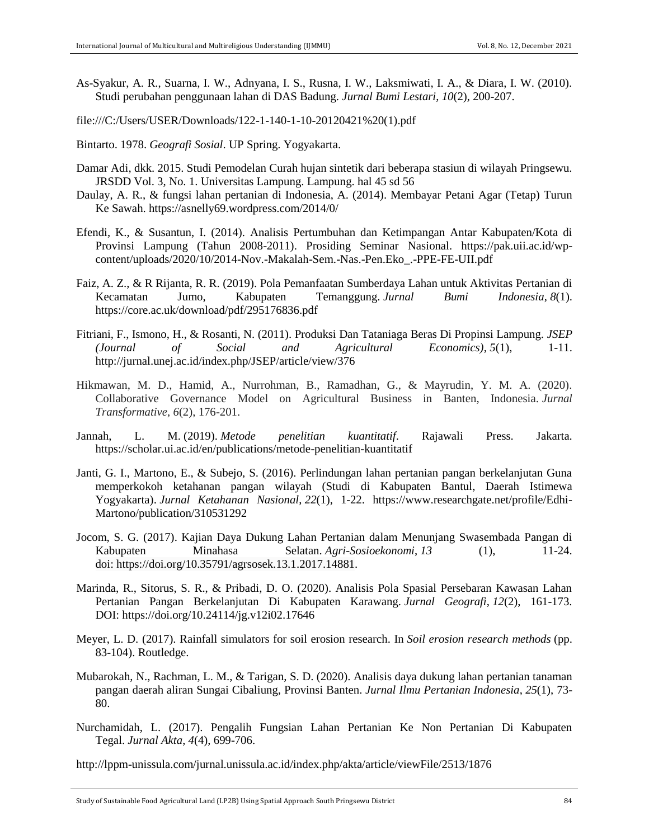- As-Syakur, A. R., Suarna, I. W., Adnyana, I. S., Rusna, I. W., Laksmiwati, I. A., & Diara, I. W. (2010). Studi perubahan penggunaan lahan di DAS Badung. *Jurnal Bumi Lestari*, *10*(2), 200-207.
- file:///C:/Users/USER/Downloads/122-1-140-1-10-20120421%20(1).pdf
- Bintarto. 1978. *Geografi Sosial*. UP Spring. Yogyakarta.
- Damar Adi, dkk. 2015. Studi Pemodelan Curah hujan sintetik dari beberapa stasiun di wilayah Pringsewu. JRSDD Vol. 3, No. 1. Universitas Lampung. Lampung. hal 45 sd 56
- Daulay, A. R., & fungsi lahan pertanian di Indonesia, A. (2014). Membayar Petani Agar (Tetap) Turun Ke Sawah. https://asnelly69.wordpress.com/2014/0/
- Efendi, K., & Susantun, I. (2014). Analisis Pertumbuhan dan Ketimpangan Antar Kabupaten/Kota di Provinsi Lampung (Tahun 2008-2011). Prosiding Seminar Nasional. https://pak.uii.ac.id/wpcontent/uploads/2020/10/2014-Nov.-Makalah-Sem.-Nas.-Pen.Eko\_.-PPE-FE-UII.pdf
- Faiz, A. Z., & R Rijanta, R. R. (2019). Pola Pemanfaatan Sumberdaya Lahan untuk Aktivitas Pertanian di Kecamatan Jumo, Kabupaten Temanggung. *Jurnal Bumi Indonesia*, *8*(1). https://core.ac.uk/download/pdf/295176836.pdf
- Fitriani, F., Ismono, H., & Rosanti, N. (2011). Produksi Dan Tataniaga Beras Di Propinsi Lampung. *JSEP (Journal of Social and Agricultural Economics)*, *5*(1), 1-11. http://jurnal.unej.ac.id/index.php/JSEP/article/view/376
- Hikmawan, M. D., Hamid, A., Nurrohman, B., Ramadhan, G., & Mayrudin, Y. M. A. (2020). Collaborative Governance Model on Agricultural Business in Banten, Indonesia. *Jurnal Transformative*, *6*(2), 176-201.
- Jannah, L. M. (2019). *Metode penelitian kuantitatif*. Rajawali Press. Jakarta. https://scholar.ui.ac.id/en/publications/metode-penelitian-kuantitatif
- Janti, G. I., Martono, E., & Subejo, S. (2016). Perlindungan lahan pertanian pangan berkelanjutan Guna memperkokoh ketahanan pangan wilayah (Studi di Kabupaten Bantul, Daerah Istimewa Yogyakarta). *Jurnal Ketahanan Nasional*, *22*(1), 1-22. [https://www.researchgate.net/profile/Edhi-](https://www.researchgate.net/profile/Edhi-Martono/publication/310531292)[Martono/publication/310531292](https://www.researchgate.net/profile/Edhi-Martono/publication/310531292)
- Jocom, S. G. (2017). Kajian Daya Dukung Lahan Pertanian dalam Menunjang Swasembada Pangan di Kabupaten Minahasa Selatan. *Agri-Sosioekonomi*, *13* (1), 11-24. doi: [https://doi.org/10.35791/agrsosek.13.1.2017.14881.](https://doi.org/10.35791/agrsosek.13.1.2017.14881)
- Marinda, R., Sitorus, S. R., & Pribadi, D. O. (2020). Analisis Pola Spasial Persebaran Kawasan Lahan Pertanian Pangan Berkelanjutan Di Kabupaten Karawang. *Jurnal Geografi*, *12*(2), 161-173. DOI: <https://doi.org/10.24114/jg.v12i02.17646>
- Meyer, L. D. (2017). Rainfall simulators for soil erosion research. In *Soil erosion research methods* (pp. 83-104). Routledge.
- Mubarokah, N., Rachman, L. M., & Tarigan, S. D. (2020). Analisis daya dukung lahan pertanian tanaman pangan daerah aliran Sungai Cibaliung, Provinsi Banten. *Jurnal Ilmu Pertanian Indonesia*, *25*(1), 73- 80.
- Nurchamidah, L. (2017). Pengalih Fungsian Lahan Pertanian Ke Non Pertanian Di Kabupaten Tegal. *Jurnal Akta*, *4*(4), 699-706.

http://lppm-unissula.com/jurnal.unissula.ac.id/index.php/akta/article/viewFile/2513/1876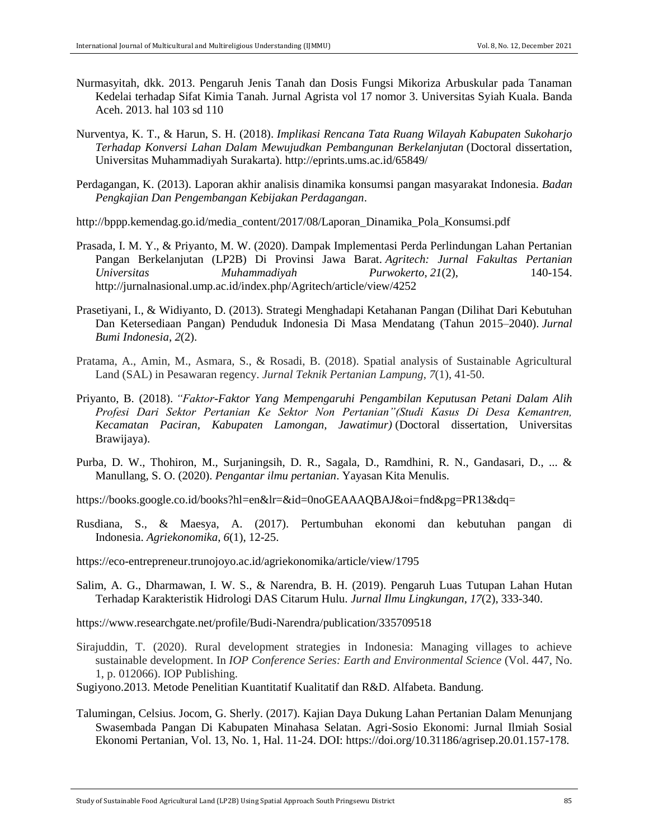- Nurmasyitah, dkk. 2013. Pengaruh Jenis Tanah dan Dosis Fungsi Mikoriza Arbuskular pada Tanaman Kedelai terhadap Sifat Kimia Tanah. Jurnal Agrista vol 17 nomor 3. Universitas Syiah Kuala. Banda Aceh. 2013. hal 103 sd 110
- Nurventya, K. T., & Harun, S. H. (2018). *Implikasi Rencana Tata Ruang Wilayah Kabupaten Sukoharjo Terhadap Konversi Lahan Dalam Mewujudkan Pembangunan Berkelanjutan* (Doctoral dissertation, Universitas Muhammadiyah Surakarta). http://eprints.ums.ac.id/65849/
- Perdagangan, K. (2013). Laporan akhir analisis dinamika konsumsi pangan masyarakat Indonesia. *Badan Pengkajian Dan Pengembangan Kebijakan Perdagangan*.
- http://bppp.kemendag.go.id/media\_content/2017/08/Laporan\_Dinamika\_Pola\_Konsumsi.pdf
- Prasada, I. M. Y., & Priyanto, M. W. (2020). Dampak Implementasi Perda Perlindungan Lahan Pertanian Pangan Berkelanjutan (LP2B) Di Provinsi Jawa Barat. *Agritech: Jurnal Fakultas Pertanian Universitas Muhammadiyah Purwokerto*, *21*(2), 140-154. http://jurnalnasional.ump.ac.id/index.php/Agritech/article/view/4252
- Prasetiyani, I., & Widiyanto, D. (2013). Strategi Menghadapi Ketahanan Pangan (Dilihat Dari Kebutuhan Dan Ketersediaan Pangan) Penduduk Indonesia Di Masa Mendatang (Tahun 2015–2040). *Jurnal Bumi Indonesia*, *2*(2).
- Pratama, A., Amin, M., Asmara, S., & Rosadi, B. (2018). Spatial analysis of Sustainable Agricultural Land (SAL) in Pesawaran regency. *Jurnal Teknik Pertanian Lampung*, *7*(1), 41-50.
- Priyanto, B. (2018). *"Faktor-Faktor Yang Mempengaruhi Pengambilan Keputusan Petani Dalam Alih Profesi Dari Sektor Pertanian Ke Sektor Non Pertanian"(Studi Kasus Di Desa Kemantren, Kecamatan Paciran, Kabupaten Lamongan, Jawatimur)* (Doctoral dissertation, Universitas Brawijaya).
- Purba, D. W., Thohiron, M., Surjaningsih, D. R., Sagala, D., Ramdhini, R. N., Gandasari, D., ... & Manullang, S. O. (2020). *Pengantar ilmu pertanian*. Yayasan Kita Menulis.
- https://books.google.co.id/books?hl=en&lr=&id=0noGEAAAQBAJ&oi=fnd&pg=PR13&dq=
- Rusdiana, S., & Maesya, A. (2017). Pertumbuhan ekonomi dan kebutuhan pangan di Indonesia. *Agriekonomika*, *6*(1), 12-25.
- https://eco-entrepreneur.trunojoyo.ac.id/agriekonomika/article/view/1795
- Salim, A. G., Dharmawan, I. W. S., & Narendra, B. H. (2019). Pengaruh Luas Tutupan Lahan Hutan Terhadap Karakteristik Hidrologi DAS Citarum Hulu. *Jurnal Ilmu Lingkungan*, *17*(2), 333-340.
- <https://www.researchgate.net/profile/Budi-Narendra/publication/335709518>
- Sirajuddin, T. (2020). Rural development strategies in Indonesia: Managing villages to achieve sustainable development. In *IOP Conference Series: Earth and Environmental Science* (Vol. 447, No. 1, p. 012066). IOP Publishing.
- Sugiyono.2013. Metode Penelitian Kuantitatif Kualitatif dan R&D. Alfabeta. Bandung.
- Talumingan, Celsius. Jocom, G. Sherly. (2017). Kajian Daya Dukung Lahan Pertanian Dalam Menunjang Swasembada Pangan Di Kabupaten Minahasa Selatan. Agri-Sosio Ekonomi: Jurnal Ilmiah Sosial Ekonomi Pertanian, Vol. 13, No. 1, Hal. 11-24. DOI: [https://doi.org/10.31186/agrisep.20.01.157-178.](https://doi.org/10.31186/agrisep.20.01.157-178)